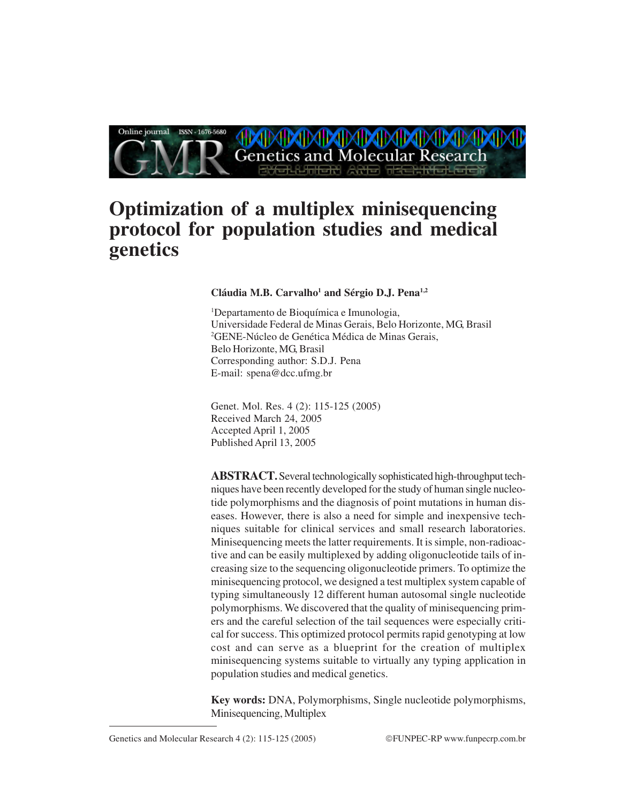

# **Optimization of a multiplex minisequencing protocol for population studies and medical genetics**

#### Cláudia M.B. Carvalho<sup>1</sup> and Sérgio D.J. Pena<sup>1,2</sup>

1 Departamento de Bioquímica e Imunologia, Universidade Federal de Minas Gerais, Belo Horizonte, MG, Brasil 2 GENE-Núcleo de Genética Médica de Minas Gerais, Belo Horizonte, MG, Brasil Corresponding author: S.D.J. Pena E-mail: spena@dcc.ufmg.br

Genet. Mol. Res. 4 (2): 115-125 (2005) Received March 24, 2005 Accepted April 1, 2005 Published April 13, 2005

**ABSTRACT.** Several technologically sophisticated high-throughput techniques have been recently developed for the study of human single nucleotide polymorphisms and the diagnosis of point mutations in human diseases. However, there is also a need for simple and inexpensive techniques suitable for clinical services and small research laboratories. Minisequencing meets the latter requirements. It is simple, non-radioactive and can be easily multiplexed by adding oligonucleotide tails of increasing size to the sequencing oligonucleotide primers. To optimize the minisequencing protocol, we designed a test multiplex system capable of typing simultaneously 12 different human autosomal single nucleotide polymorphisms. We discovered that the quality of minisequencing primers and the careful selection of the tail sequences were especially critical for success. This optimized protocol permits rapid genotyping at low cost and can serve as a blueprint for the creation of multiplex minisequencing systems suitable to virtually any typing application in population studies and medical genetics.

**Key words:** DNA, Polymorphisms, Single nucleotide polymorphisms, Minisequencing, Multiplex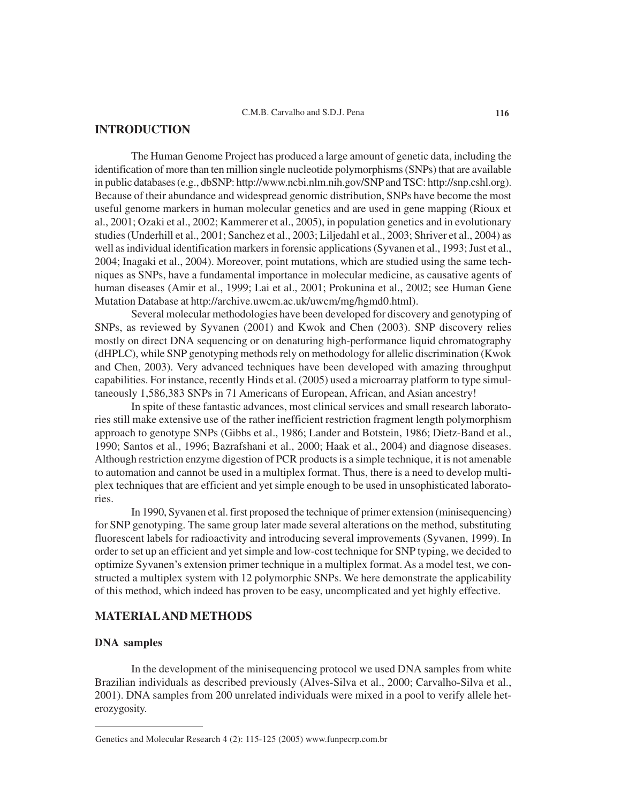# **INTRODUCTION**

The Human Genome Project has produced a large amount of genetic data, including the identification of more than ten million single nucleotide polymorphisms (SNPs) that are available in public databases (e.g., dbSNP: http://www.ncbi.nlm.nih.gov/SNP and TSC: http://snp.cshl.org). Because of their abundance and widespread genomic distribution, SNPs have become the most useful genome markers in human molecular genetics and are used in gene mapping (Rioux et al., 2001; Ozaki et al., 2002; Kammerer et al., 2005), in population genetics and in evolutionary studies (Underhill et al., 2001; Sanchez et al., 2003; Liljedahl et al., 2003; Shriver et al., 2004) as well as individual identification markers in forensic applications (Syvanen et al., 1993; Just et al., 2004; Inagaki et al., 2004). Moreover, point mutations, which are studied using the same techniques as SNPs, have a fundamental importance in molecular medicine, as causative agents of human diseases (Amir et al., 1999; Lai et al., 2001; Prokunina et al., 2002; see Human Gene Mutation Database at http://archive.uwcm.ac.uk/uwcm/mg/hgmd0.html).

Several molecular methodologies have been developed for discovery and genotyping of SNPs, as reviewed by Syvanen (2001) and Kwok and Chen (2003). SNP discovery relies mostly on direct DNA sequencing or on denaturing high-performance liquid chromatography (dHPLC), while SNP genotyping methods rely on methodology for allelic discrimination (Kwok and Chen, 2003). Very advanced techniques have been developed with amazing throughput capabilities. For instance, recently Hinds et al. (2005) used a microarray platform to type simultaneously 1,586,383 SNPs in 71 Americans of European, African, and Asian ancestry!

In spite of these fantastic advances, most clinical services and small research laboratories still make extensive use of the rather inefficient restriction fragment length polymorphism approach to genotype SNPs (Gibbs et al., 1986; Lander and Botstein, 1986; Dietz-Band et al., 1990; Santos et al., 1996; Bazrafshani et al., 2000; Haak et al., 2004) and diagnose diseases. Although restriction enzyme digestion of PCR products is a simple technique, it is not amenable to automation and cannot be used in a multiplex format. Thus, there is a need to develop multiplex techniques that are efficient and yet simple enough to be used in unsophisticated laboratories.

In 1990, Syvanen et al. first proposed the technique of primer extension (minisequencing) for SNP genotyping. The same group later made several alterations on the method, substituting fluorescent labels for radioactivity and introducing several improvements (Syvanen, 1999). In order to set up an efficient and yet simple and low-cost technique for SNP typing, we decided to optimize Syvanen's extension primer technique in a multiplex format. As a model test, we constructed a multiplex system with 12 polymorphic SNPs. We here demonstrate the applicability of this method, which indeed has proven to be easy, uncomplicated and yet highly effective.

# **MATERIAL AND METHODS**

#### **DNA samples**

In the development of the minisequencing protocol we used DNA samples from white Brazilian individuals as described previously (Alves-Silva et al., 2000; Carvalho-Silva et al., 2001). DNA samples from 200 unrelated individuals were mixed in a pool to verify allele heterozygosity.

Genetics and Molecular Research 4 (2): 115-125 (2005) www.funpecrp.com.br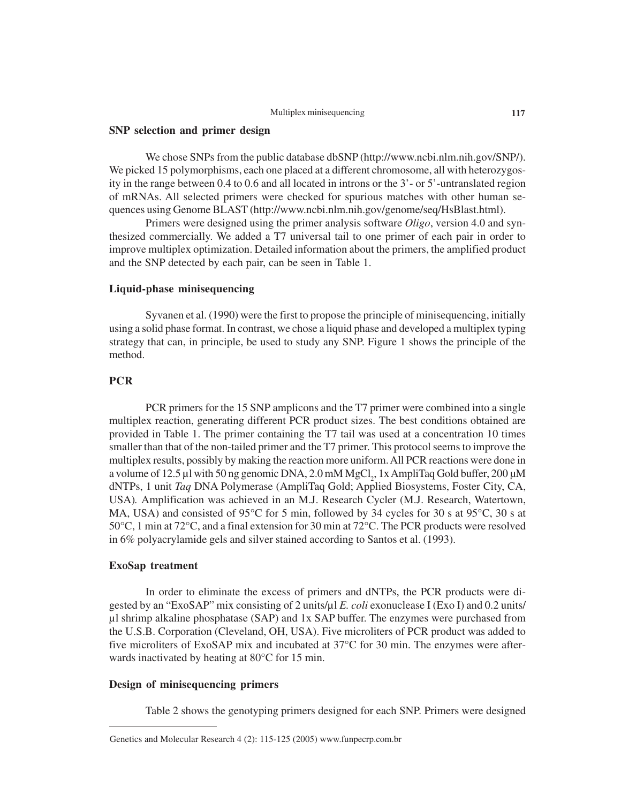#### Multiplex minisequencing **117**

#### **SNP selection and primer design**

We chose SNPs from the public database dbSNP (http://www.ncbi.nlm.nih.gov/SNP/). We picked 15 polymorphisms, each one placed at a different chromosome, all with heterozygosity in the range between 0.4 to 0.6 and all located in introns or the 3'- or 5'-untranslated region of mRNAs. All selected primers were checked for spurious matches with other human sequences using Genome BLAST (http://www.ncbi.nlm.nih.gov/genome/seq/HsBlast.html).

Primers were designed using the primer analysis software *Oligo*, version 4.0 and synthesized commercially. We added a T7 universal tail to one primer of each pair in order to improve multiplex optimization. Detailed information about the primers, the amplified product and the SNP detected by each pair, can be seen in Table 1.

#### **Liquid-phase minisequencing**

Syvanen et al. (1990) were the first to propose the principle of minisequencing, initially using a solid phase format. In contrast, we chose a liquid phase and developed a multiplex typing strategy that can, in principle, be used to study any SNP. Figure 1 shows the principle of the method.

## **PCR**

PCR primers for the 15 SNP amplicons and the T7 primer were combined into a single multiplex reaction, generating different PCR product sizes. The best conditions obtained are provided in Table 1. The primer containing the T7 tail was used at a concentration 10 times smaller than that of the non-tailed primer and the T7 primer. This protocol seems to improve the multiplex results, possibly by making the reaction more uniform. All PCR reactions were done in a volume of 12.5  $\mu$ l with 50 ng genomic DNA, 2.0 mM MgCl<sub>2</sub>, 1x AmpliTaq Gold buffer, 200  $\mu$ M dNTPs, 1 unit *Taq* DNA Polymerase (AmpliTaq Gold; Applied Biosystems, Foster City, CA, USA)*.* Amplification was achieved in an M.J. Research Cycler (M.J. Research, Watertown, MA, USA) and consisted of 95°C for 5 min, followed by 34 cycles for 30 s at 95°C, 30 s at 50°C, 1 min at 72°C, and a final extension for 30 min at 72°C. The PCR products were resolved in 6% polyacrylamide gels and silver stained according to Santos et al. (1993).

#### **ExoSap treatment**

In order to eliminate the excess of primers and dNTPs, the PCR products were digested by an "ExoSAP" mix consisting of 2 units/µl *E. coli* exonuclease I (Exo I) and 0.2 units/ µl shrimp alkaline phosphatase (SAP) and 1x SAP buffer. The enzymes were purchased from the U.S.B. Corporation (Cleveland, OH, USA). Five microliters of PCR product was added to five microliters of ExoSAP mix and incubated at 37°C for 30 min. The enzymes were afterwards inactivated by heating at 80°C for 15 min.

### **Design of minisequencing primers**

Table 2 shows the genotyping primers designed for each SNP. Primers were designed

Genetics and Molecular Research 4 (2): 115-125 (2005) www.funpecrp.com.br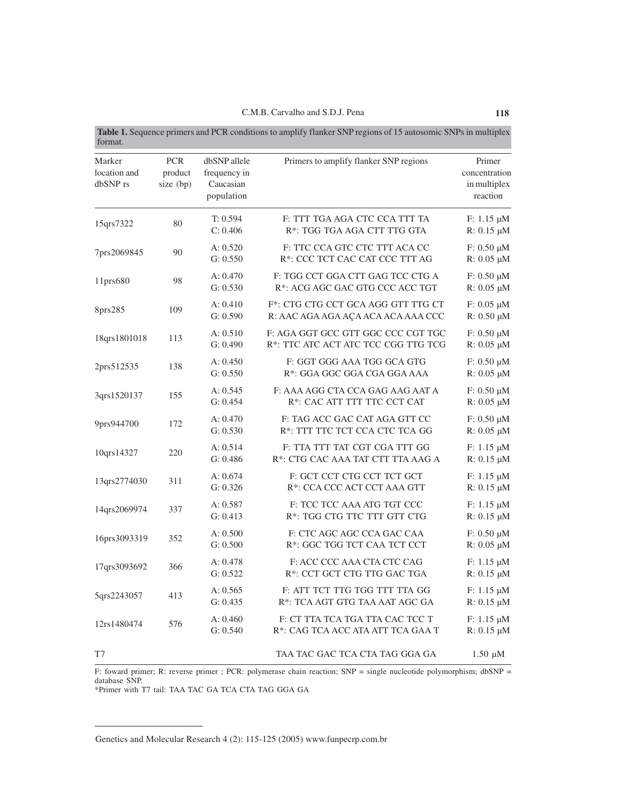| Marker<br>location and<br>dbSNP rs | <b>PCR</b><br>product<br>size (bp) | dbSNP allele<br>frequency in<br>Caucasian<br>population | Primers to amplify flanker SNP regions                                       | Primer<br>concentration<br>in multiplex<br>reaction |
|------------------------------------|------------------------------------|---------------------------------------------------------|------------------------------------------------------------------------------|-----------------------------------------------------|
| 15qrs7322                          | 80                                 | T: 0.594<br>C: 0.406                                    | F: TTT TGA AGA CTC CCA TTT TA<br>R*: TGG TGA AGA CTT TTG GTA                 | $F: 1.15 \mu M$<br>$R: 0.15 \mu M$                  |
| 7prs2069845                        | 90                                 | A: 0.520<br>G: 0.550                                    | F: TTC CCA GTC CTC TTT ACA CC<br>R*: CCC TCT CAC CAT CCC TTT AG              | $F: 0.50 \mu M$<br>$R: 0.05 \mu M$                  |
| 11prs680                           | 98                                 | A: 0.470<br>G: 0.530                                    | F: TGG CCT GGA CTT GAG TCC CTG A<br>R*: ACG AGC GAC GTG CCC ACC TGT          | $F: 0.50 \mu M$<br>$R: 0.05 \mu M$                  |
| 8prs285                            | 109                                | A: 0.410<br>G: 0.590                                    | F*: CTG CTG CCT GCA AGG GTT TTG CT<br>R: AAC AGA AGA AÇA ACA ACA AAA CCC     | $F: 0.05 \mu M$<br>$R: 0.50 \mu M$                  |
| 18qrs1801018                       | 113                                | A: 0.510<br>G: 0.490                                    | F: AGA GGT GCC GTT GGC CCC CGT TGC<br>R*: TTC ATC ACT ATC TCC CGG TTG TCG    | $F: 0.50 \mu M$<br>$R: 0.05 \mu M$                  |
| 2prs512535                         | 138                                | A: 0.450<br>G: 0.550                                    | F: GGT GGG AAA TGG GCA GTG<br>R*: GGA GGC GGA CGA GGA AAA                    | $F: 0.50 \mu M$<br>$R: 0.05 \mu M$                  |
| 3qrs1520137                        | 155                                | A: 0.545<br>G: 0.454                                    | F: AAA AGG CTA CCA GAG AAG AAT A<br>R <sup>*</sup> : CAC ATT TTT TTC CCT CAT | $F: 0.50 \mu M$<br>$R: 0.05 \mu M$                  |
| 9prs944700                         | 172                                | A: 0.470<br>G: 0.530                                    | F: TAG ACC GAC CAT AGA GTT CC<br>R*: TTT TTC TCT CCA CTC TCA GG              | $F: 0.50 \mu M$<br>$R: 0.05 \mu M$                  |
| 10qrs14327                         | 220                                | A: 0.514<br>G: 0.486                                    | F: TTA TTT TAT CGT CGA TTT GG<br>R*: CTG CAC AAA TAT CTT TTA AAG A           | $F: 1.15 \mu M$<br>$R: 0.15 \mu M$                  |
| 13qrs2774030                       | 311                                | A: 0.674<br>G: 0.326                                    | F: GCT CCT CTG CCT TCT GCT<br>R*: CCA CCC ACT CCT AAA GTT                    | $F: 1.15 \mu M$<br>$R: 0.15 \mu M$                  |
| 14qrs2069974                       | 337                                | A: 0.587<br>G: 0.413                                    | F: TCC TCC AAA ATG TGT CCC<br>R*: TGG CTG TTC TTT GTT CTG                    | $F: 1.15 \mu M$<br>$R: 0.15 \mu M$                  |
| 16prs3093319                       | 352                                | A: 0.500<br>G: 0.500                                    | F: CTC AGC AGC CCA GAC CAA<br>R*: GGC TGG TCT CAA TCT CCT                    | $F: 0.50 \mu M$<br>$R: 0.05 \mu M$                  |
| 17qrs3093692                       | 366                                | A: 0.478<br>G: 0.522                                    | F: ACC CCC AAA CTA CTC CAG<br>R*: CCT GCT CTG TTG GAC TGA                    | $F: 1.15 \mu M$<br>$R: 0.15 \mu M$                  |
| 5qrs2243057                        | 413                                | A: 0.565<br>G: 0.435                                    | F: ATT TCT TTG TGG TTT TTA GG<br>R*: TCA AGT GTG TAA AAT AGC GA              | $F: 1.15 \mu M$<br>$R: 0.15 \mu M$                  |
| 12rs1480474                        | 576                                | A: 0.460<br>G: 0.540                                    | F: CT TTA TCA TGA TTA CAC TCC T<br>R*: CAG TCA ACC ATA ATT TCA GAA T         | $F: 1.15 \mu M$<br>R: 0.15 µM                       |
| T7                                 |                                    |                                                         | TAA TAC GAC TCA CTA TAG GGA GA                                               | $1.50 \mu M$                                        |

F: foward primer; R: reverse primer ; PCR: polymerase chain reaction; SNP = single nucleotide polymorphism; dbSNP = database SNP.

\*Primer with T7 tail: TAA TAC GA TCA CTA TAG GGA GA

Genetics and Molecular Research 4 (2): 115-125 (2005) www.funpecrp.com.br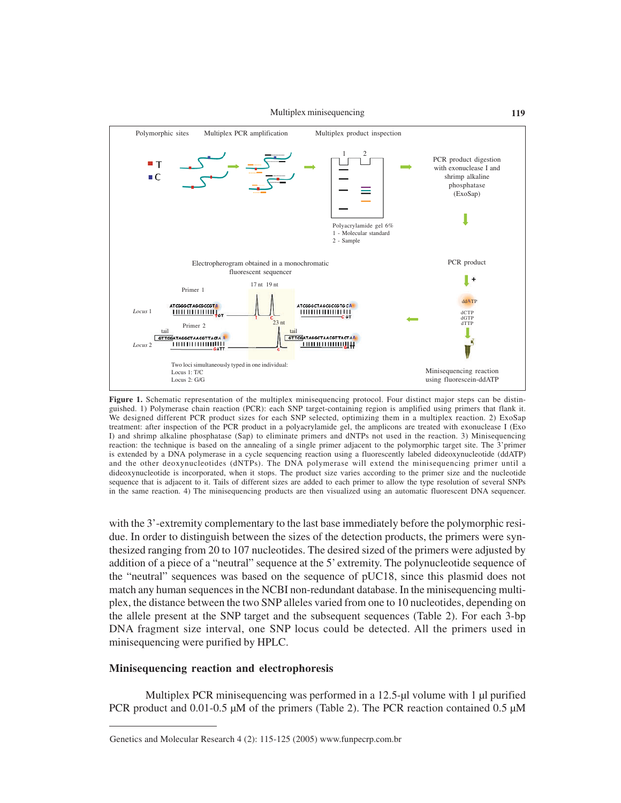

Figure 1. Schematic representation of the multiplex minisequencing protocol. Four distinct major steps can be distinguished. 1) Polymerase chain reaction (PCR): each SNP target-containing region is amplified using primers that flank it. We designed different PCR product sizes for each SNP selected, optimizing them in a multiplex reaction. 2) ExoSap treatment: after inspection of the PCR product in a polyacrylamide gel, the amplicons are treated with exonuclease I (Exo I) and shrimp alkaline phosphatase (Sap) to eliminate primers and dNTPs not used in the reaction. 3) Minisequencing reaction: the technique is based on the annealing of a single primer adjacent to the polymorphic target site. The 3'primer is extended by a DNA polymerase in a cycle sequencing reaction using a fluorescently labeled dideoxynucleotide (ddATP) and the other deoxynucleotides (dNTPs). The DNA polymerase will extend the minisequencing primer until a dideoxynucleotide is incorporated, when it stops. The product size varies according to the primer size and the nucleotide sequence that is adjacent to it. Tails of different sizes are added to each primer to allow the type resolution of several SNPs in the same reaction. 4) The minisequencing products are then visualized using an automatic fluorescent DNA sequencer.

with the 3'-extremity complementary to the last base immediately before the polymorphic residue. In order to distinguish between the sizes of the detection products, the primers were synthesized ranging from 20 to 107 nucleotides. The desired sized of the primers were adjusted by addition of a piece of a "neutral" sequence at the 5' extremity. The polynucleotide sequence of the "neutral" sequences was based on the sequence of pUC18, since this plasmid does not match any human sequences in the NCBI non-redundant database. In the minisequencing multiplex, the distance between the two SNP alleles varied from one to 10 nucleotides, depending on the allele present at the SNP target and the subsequent sequences (Table 2). For each 3-bp DNA fragment size interval, one SNP locus could be detected. All the primers used in minisequencing were purified by HPLC.

#### **Minisequencing reaction and electrophoresis**

Multiplex PCR minisequencing was performed in a 12.5-µl volume with 1 µl purified PCR product and 0.01-0.5 µM of the primers (Table 2). The PCR reaction contained 0.5 µM

Genetics and Molecular Research 4 (2): 115-125 (2005) www.funpecrp.com.br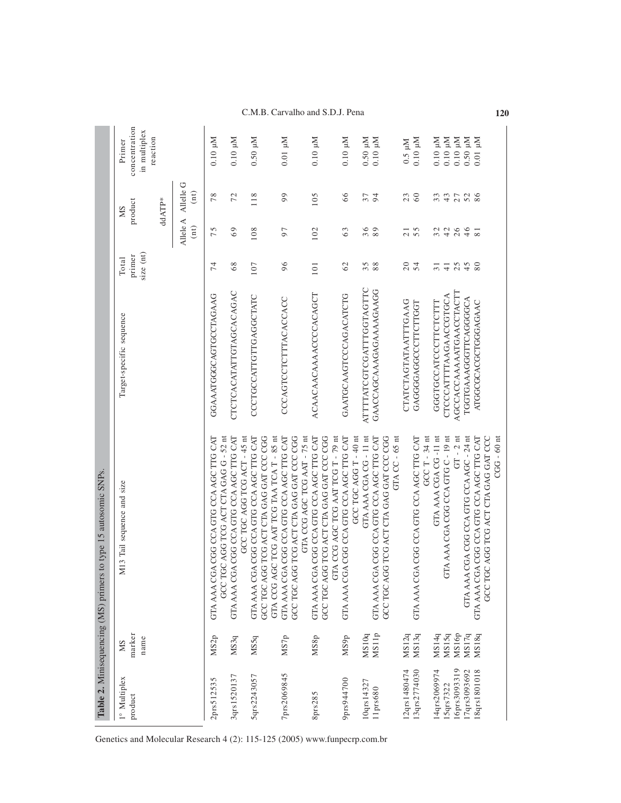# C.M.B. Carvalho and S.D.J. Pena **120**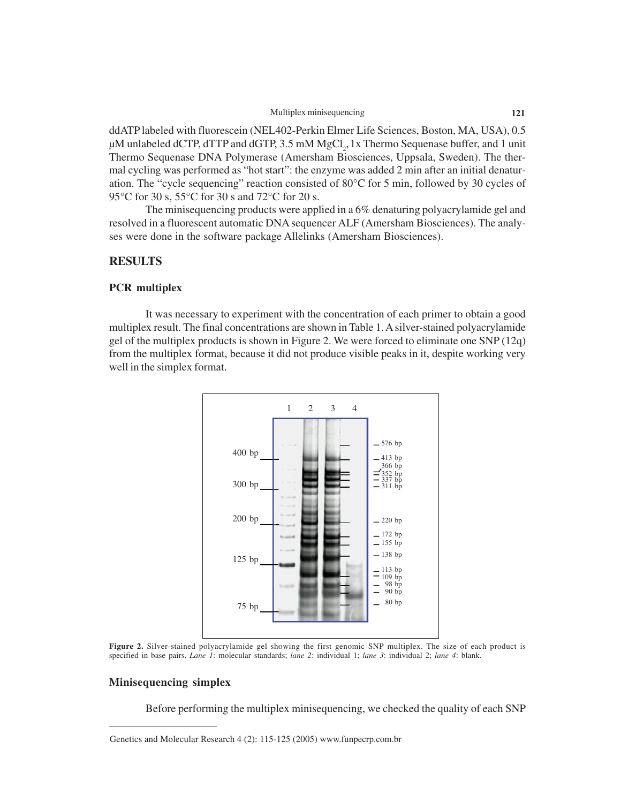ddATP labeled with fluorescein (NEL402-Perkin Elmer Life Sciences, Boston, MA, USA), 0.5 µM unlabeled dCTP, dTTP and dGTP, 3.5 mM  ${ {\rm MgCl}_2}$ , 1x Thermo Sequenase buffer, and 1 unit Thermo Sequenase DNA Polymerase (Amersham Biosciences, Uppsala, Sweden). The thermal cycling was performed as "hot start": the enzyme was added 2 min after an initial denaturation. The "cycle sequencing" reaction consisted of 80°C for 5 min, followed by 30 cycles of 95°C for 30 s, 55°C for 30 s and 72°C for 20 s.

The minisequencing products were applied in a 6% denaturing polyacrylamide gel and resolved in a fluorescent automatic DNA sequencer ALF (Amersham Biosciences). The analyses were done in the software package Allelinks (Amersham Biosciences).

## **RESULTS**

#### **PCR multiplex**

It was necessary to experiment with the concentration of each primer to obtain a good multiplex result. The final concentrations are shown in Table 1. A silver-stained polyacrylamide gel of the multiplex products is shown in Figure 2. We were forced to eliminate one SNP (12q) from the multiplex format, because it did not produce visible peaks in it, despite working very well in the simplex format.



**Figure 2.** Silver-stained polyacrylamide gel showing the first genomic SNP multiplex. The size of each product is specified in base pairs. *Lane 1*: molecular standards; *lane 2*: individual 1; *lane 3*: individual 2; *lane 4*: blank.

#### **Minisequencing simplex**

Before performing the multiplex minisequencing, we checked the quality of each SNP

Genetics and Molecular Research 4 (2): 115-125 (2005) www.funpecrp.com.br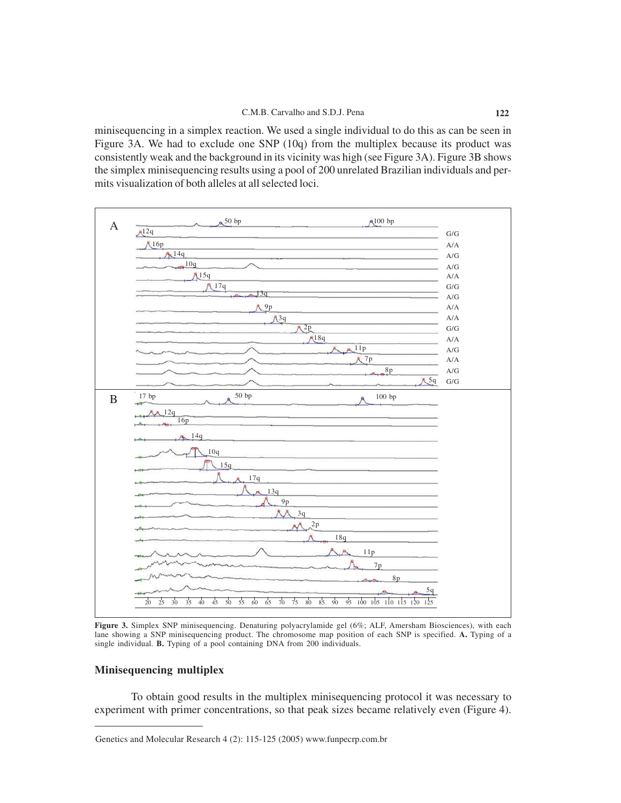minisequencing in a simplex reaction. We used a single individual to do this as can be seen in Figure 3A. We had to exclude one SNP (10q) from the multiplex because its product was consistently weak and the background in its vicinity was high (see Figure 3A). Figure 3B shows the simplex minisequencing results using a pool of 200 unrelated Brazilian individuals and permits visualization of both alleles at all selected loci.



**Figure 3.** Simplex SNP minisequencing. Denaturing polyacrylamide gel (6%; ALF, Amersham Biosciences), with each lane showing a SNP minisequencing product. The chromosome map position of each SNP is specified. **A.** Typing of a single individual. **B.** Typing of a pool containing DNA from 200 individuals.

# **Minisequencing multiplex**

To obtain good results in the multiplex minisequencing protocol it was necessary to experiment with primer concentrations, so that peak sizes became relatively even (Figure 4).

Genetics and Molecular Research 4 (2): 115-125 (2005) www.funpecrp.com.br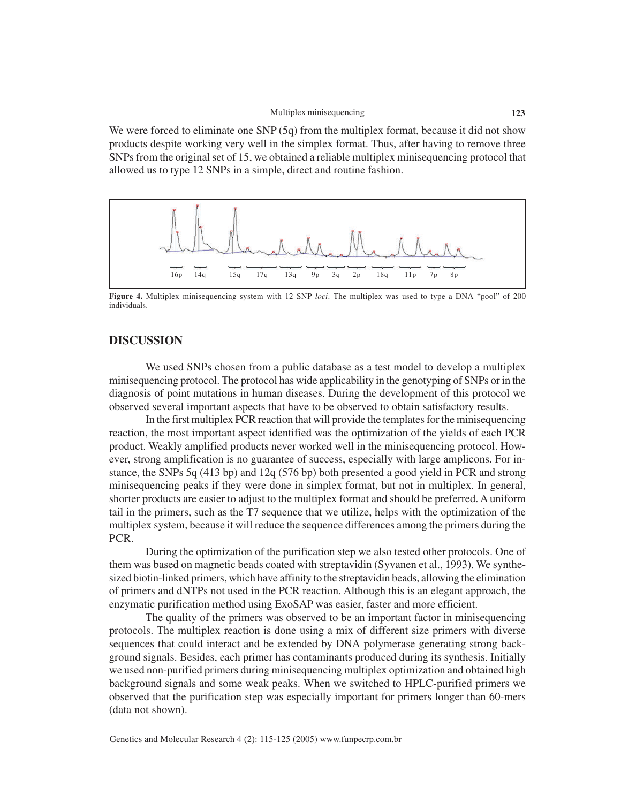We were forced to eliminate one SNP (5q) from the multiplex format, because it did not show products despite working very well in the simplex format. Thus, after having to remove three SNPs from the original set of 15, we obtained a reliable multiplex minisequencing protocol that allowed us to type 12 SNPs in a simple, direct and routine fashion.



**Figure 4.** Multiplex minisequencing system with 12 SNP *loci*. The multiplex was used to type a DNA "pool" of 200 individuals.

# **DISCUSSION**

We used SNPs chosen from a public database as a test model to develop a multiplex minisequencing protocol. The protocol has wide applicability in the genotyping of SNPs or in the diagnosis of point mutations in human diseases. During the development of this protocol we observed several important aspects that have to be observed to obtain satisfactory results.

In the first multiplex PCR reaction that will provide the templates for the minisequencing reaction, the most important aspect identified was the optimization of the yields of each PCR product. Weakly amplified products never worked well in the minisequencing protocol. However, strong amplification is no guarantee of success, especially with large amplicons. For instance, the SNPs 5q (413 bp) and 12q (576 bp) both presented a good yield in PCR and strong minisequencing peaks if they were done in simplex format, but not in multiplex. In general, shorter products are easier to adjust to the multiplex format and should be preferred. A uniform tail in the primers, such as the T7 sequence that we utilize, helps with the optimization of the multiplex system, because it will reduce the sequence differences among the primers during the PCR.

During the optimization of the purification step we also tested other protocols. One of them was based on magnetic beads coated with streptavidin (Syvanen et al., 1993). We synthesized biotin-linked primers, which have affinity to the streptavidin beads, allowing the elimination of primers and dNTPs not used in the PCR reaction. Although this is an elegant approach, the enzymatic purification method using ExoSAP was easier, faster and more efficient.

The quality of the primers was observed to be an important factor in minisequencing protocols. The multiplex reaction is done using a mix of different size primers with diverse sequences that could interact and be extended by DNA polymerase generating strong background signals. Besides, each primer has contaminants produced during its synthesis. Initially we used non-purified primers during minisequencing multiplex optimization and obtained high background signals and some weak peaks. When we switched to HPLC-purified primers we observed that the purification step was especially important for primers longer than 60-mers (data not shown).

Genetics and Molecular Research 4 (2): 115-125 (2005) www.funpecrp.com.br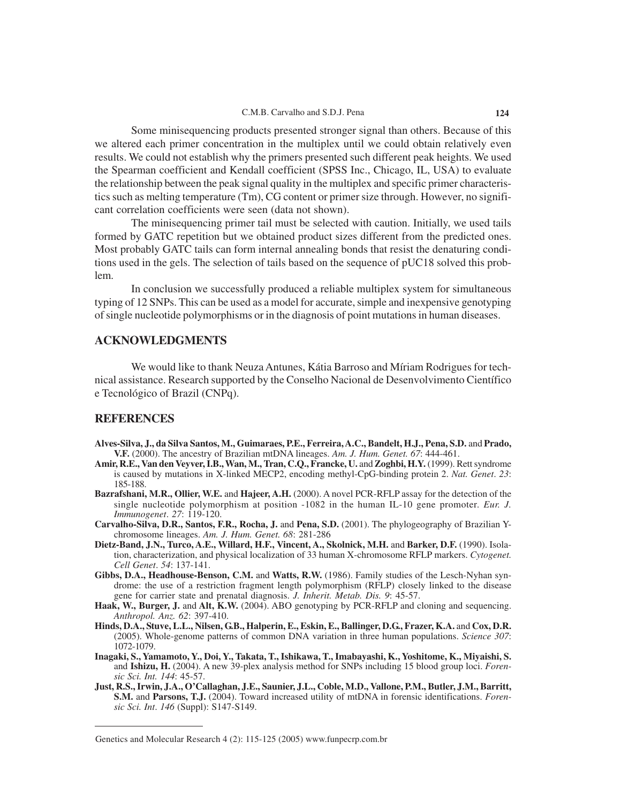Some minisequencing products presented stronger signal than others. Because of this we altered each primer concentration in the multiplex until we could obtain relatively even results. We could not establish why the primers presented such different peak heights. We used the Spearman coefficient and Kendall coefficient (SPSS Inc., Chicago, IL, USA) to evaluate the relationship between the peak signal quality in the multiplex and specific primer characteristics such as melting temperature (Tm), CG content or primer size through. However, no significant correlation coefficients were seen (data not shown).

The minisequencing primer tail must be selected with caution. Initially, we used tails formed by GATC repetition but we obtained product sizes different from the predicted ones. Most probably GATC tails can form internal annealing bonds that resist the denaturing conditions used in the gels. The selection of tails based on the sequence of pUC18 solved this problem.

In conclusion we successfully produced a reliable multiplex system for simultaneous typing of 12 SNPs. This can be used as a model for accurate, simple and inexpensive genotyping of single nucleotide polymorphisms or in the diagnosis of point mutations in human diseases.

# **ACKNOWLEDGMENTS**

We would like to thank Neuza Antunes, Kátia Barroso and Míriam Rodrigues for technical assistance. Research supported by the Conselho Nacional de Desenvolvimento Científico e Tecnológico of Brazil (CNPq).

# **REFERENCES**

- **Alves-Silva, J., da Silva Santos, M., Guimaraes, P.E., Ferreira, A.C., Bandelt, H.J., Pena, S.D.** and **Prado, V.F.** (2000). The ancestry of Brazilian mtDNA lineages. *Am. J. Hum. Genet. 67*: 444-461.
- **Amir, R.E., Van den Veyver, I.B., Wan, M., Tran, C.Q., Francke, U.** and **Zoghbi, H.Y.** (1999). Rett syndrome is caused by mutations in X-linked MECP2, encoding methyl-CpG-binding protein 2. *Nat. Genet*. *23*: 185-188.
- **Bazrafshani, M.R., Ollier, W.E.** and **Hajeer, A.H.** (2000). A novel PCR-RFLP assay for the detection of the single nucleotide polymorphism at position -1082 in the human IL-10 gene promoter. *Eur. J. Immunogenet*. *27*: 119-120.
- **Carvalho-Silva, D.R., Santos, F.R., Rocha, J.** and **Pena, S.D.** (2001). The phylogeography of Brazilian Ychromosome lineages. *Am. J. Hum. Genet. 68*: 281-286
- **Dietz-Band, J.N., Turco, A.E., Willard, H.F., Vincent, A., Skolnick, M.H.** and **Barker, D.F.** (1990). Isolation, characterization, and physical localization of 33 human X-chromosome RFLP markers. *Cytogenet. Cell Genet*. *54*: 137-141.
- **Gibbs, D.A., Headhouse-Benson, C.M.** and **Watts, R.W.** (1986). Family studies of the Lesch-Nyhan syndrome: the use of a restriction fragment length polymorphism (RFLP) closely linked to the disease gene for carrier state and prenatal diagnosis. *J. Inherit. Metab. Dis. 9*: 45-57.
- **Haak, W., Burger, J.** and **Alt, K.W.** (2004). ABO genotyping by PCR-RFLP and cloning and sequencing. *Anthropol. Anz. 62*: 397-410.
- **Hinds, D.A., Stuve, L.L., Nilsen, G.B., Halperin, E., Eskin, E., Ballinger, D.G., Frazer, K.A.** and **Cox, D.R.** (2005). Whole-genome patterns of common DNA variation in three human populations. *Science 307*: 1072-1079.
- **Inagaki, S., Yamamoto, Y., Doi, Y., Takata, T., Ishikawa, T., Imabayashi, K., Yoshitome, K., Miyaishi, S.** and **Ishizu, H.** (2004). A new 39-plex analysis method for SNPs including 15 blood group loci. *Forensic Sci. Int. 144*: 45-57.
- **Just, R.S., Irwin, J.A., O'Callaghan, J.E., Saunier, J.L., Coble, M.D., Vallone, P.M., Butler, J.M., Barritt, S.M.** and **Parsons, T.J.** (2004). Toward increased utility of mtDNA in forensic identifications. *Forensic Sci. Int*. *146* (Suppl): S147-S149.

Genetics and Molecular Research 4 (2): 115-125 (2005) www.funpecrp.com.br